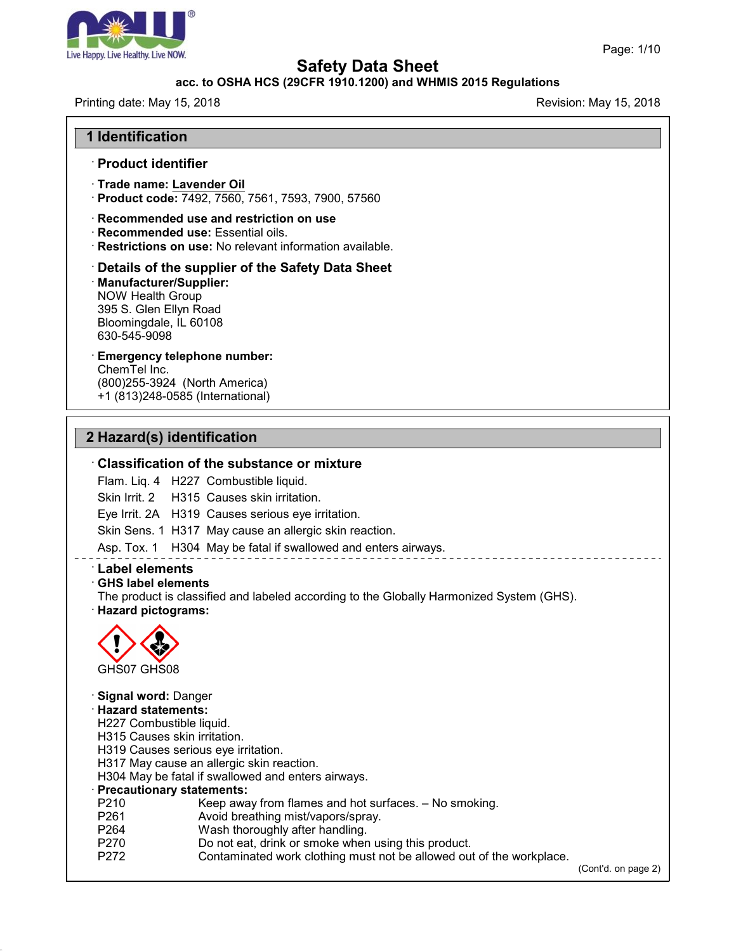

#### **acc. to OSHA HCS (29CFR 1910.1200) and WHMIS 2015 Regulations**

Printing date: May 15, 2018 **Printing date: May 15, 2018** Revision: May 15, 2018

Page: 1/10

#### **1 Identification**

#### · **Product identifier**

- · **Trade name: Lavender Oil**
- · **Product code:** 7492, 7560, 7561, 7593, 7900, 57560
- · **Recommended use and restriction on use**
- · **Recommended use:** Essential oils.
- · **Restrictions on use:** No relevant information available.

## · **Details of the supplier of the Safety Data Sheet** · **Manufacturer/Supplier:** NOW Health Group

395 S. Glen Ellyn Road Bloomingdale, IL 60108 630-545-9098

## · **Emergency telephone number:**

ChemTel Inc. (800)255-3924 (North America) +1 (813)248-0585 (International)

## **2 Hazard(s) identification**

#### · **Classification of the substance or mixture**

Flam. Liq. 4 H227 Combustible liquid.

Skin Irrit. 2 H315 Causes skin irritation.

Eye Irrit. 2A H319 Causes serious eye irritation.

Skin Sens. 1 H317 May cause an allergic skin reaction.

Asp. Tox. 1 H304 May be fatal if swallowed and enters airways.

#### · **Label elements**

#### · **GHS label elements**

The product is classified and labeled according to the Globally Harmonized System (GHS). · **Hazard pictograms:**



#### · **Signal word:** Danger · **Hazard statements:**

47.0

- 
- H227 Combustible liquid.
- H315 Causes skin irritation.
- H319 Causes serious eye irritation.
- H317 May cause an allergic skin reaction.
- H304 May be fatal if swallowed and enters airways.

## · **Precautionary statements:**

- P210 Keep away from flames and hot surfaces. No smoking.<br>P261 Cavoid breathing mist/vapors/spray.
- Avoid breathing mist/vapors/spray.
- P264 Wash thoroughly after handling.
- P270 Do not eat, drink or smoke when using this product.<br>P272 Contaminated work clothing must not be allowed our
- Contaminated work clothing must not be allowed out of the workplace.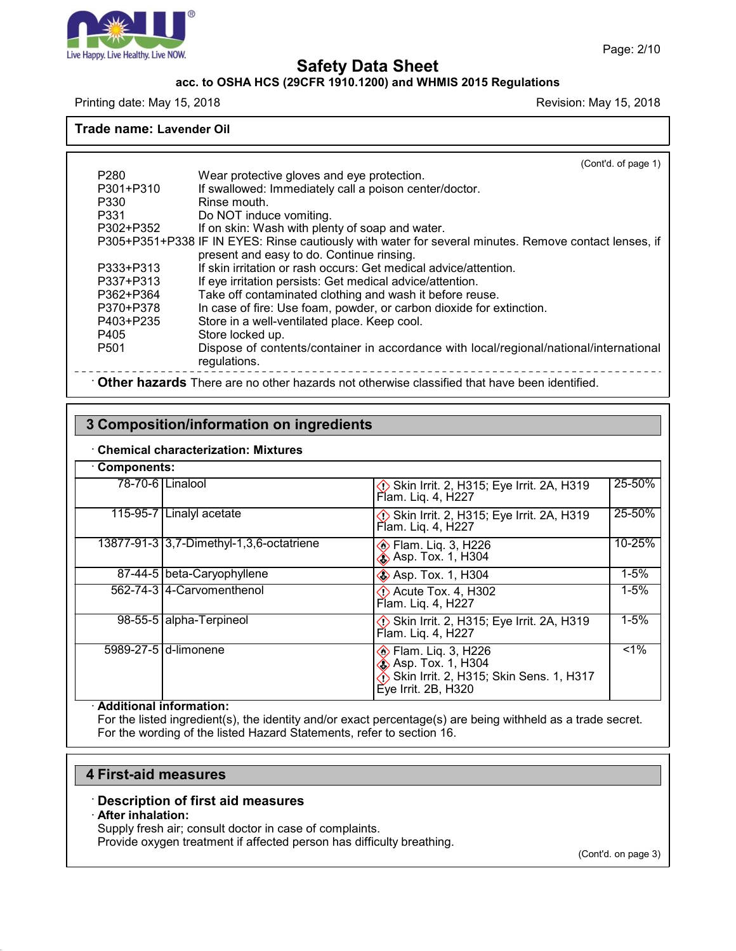

#### **acc. to OSHA HCS (29CFR 1910.1200) and WHMIS 2015 Regulations**

Printing date: May 15, 2018 **Printing date: May 15, 2018** Revision: May 15, 2018

**Trade name: Lavender Oil**

(Cont'd. of page 1) P280 Wear protective gloves and eye protection.<br>P301+P310 If swallowed: Immediately call a poison cen If swallowed: Immediately call a poison center/doctor. P330 Rinse mouth.<br>P331 Do NOT induc Do NOT induce vomiting. P302+P352 If on skin: Wash with plenty of soap and water. P305+P351+P338 IF IN EYES: Rinse cautiously with water for several minutes. Remove contact lenses, if present and easy to do. Continue rinsing. P333+P313 If skin irritation or rash occurs: Get medical advice/attention. P337+P313 If eye irritation persists: Get medical advice/attention. P362+P364 Take off contaminated clothing and wash it before reuse. P370+P378 In case of fire: Use foam, powder, or carbon dioxide for extinction. P403+P235 Store in a well-ventilated place. Keep cool.<br>P405 Store locked up. P405 Store locked up.<br>P501 Dispose of conte Dispose of contents/container in accordance with local/regional/national/international regulations. · **Other hazards** There are no other hazards nototherwise classified that have been identified.

## **3 Composition/information on ingredients**

#### · **Chemical characterization: Mixtures**

| <b>Components:</b> |                                          |                                                                                                                        |          |
|--------------------|------------------------------------------|------------------------------------------------------------------------------------------------------------------------|----------|
|                    | 78-70-6 Linalool                         | Skin Irrit. 2, H315; Eye Irrit. 2A, H319<br>Flam. Liq. 4, H227                                                         | 25-50%   |
|                    | 115-95-7 Linalyl acetate                 | Skin Irrit. 2, H315; Eye Irrit. 2A, H319<br>Flam. Lig. 4, H227                                                         | 25-50%   |
|                    | 13877-91-3 3,7-Dimethyl-1,3,6-octatriene | <b>♦ Flam. Lig. 3, H226</b><br><b>Example 35</b> Asp. Tox. 1, H304                                                     | 10-25%   |
|                    | 87-44-5 beta-Caryophyllene               | <b>◆ Asp. Tox. 1, H304</b>                                                                                             | $1 - 5%$ |
|                    | 562-74-314-Carvomenthenol                | $\Diamond$ Acute Tox. 4, H302<br>Flam. Lig. 4, H227                                                                    | $1 - 5%$ |
|                    | 98-55-5 alpha-Terpineol                  | Skin Irrit. 2, H315; Eye Irrit. 2A, H319<br>Flam. Liq. 4, H227                                                         | $1 - 5%$ |
|                    | 5989-27-5 d-limonene                     | <b>♦ Flam. Lig. 3, H226</b><br>Asp. Tox. 1, H304<br>Skin Irrit. 2, H315; Skin Sens. 1, H317<br>$E'$ ye Irrit. 2B, H320 | $1\%$    |

#### · **Additional information:**

For the listed ingredient(s), the identity and/or exact percentage(s) are being withheld as a trade secret. For the wording of the listed Hazard Statements, refer to section 16.

#### **4 First-aid measures**

#### · **Description of first aid measures**

#### · **After inhalation:**

47.0

Supply fresh air; consult doctor in case of complaints.

Provide oxygen treatment if affected person has difficulty breathing.

(Cont'd. on page 3)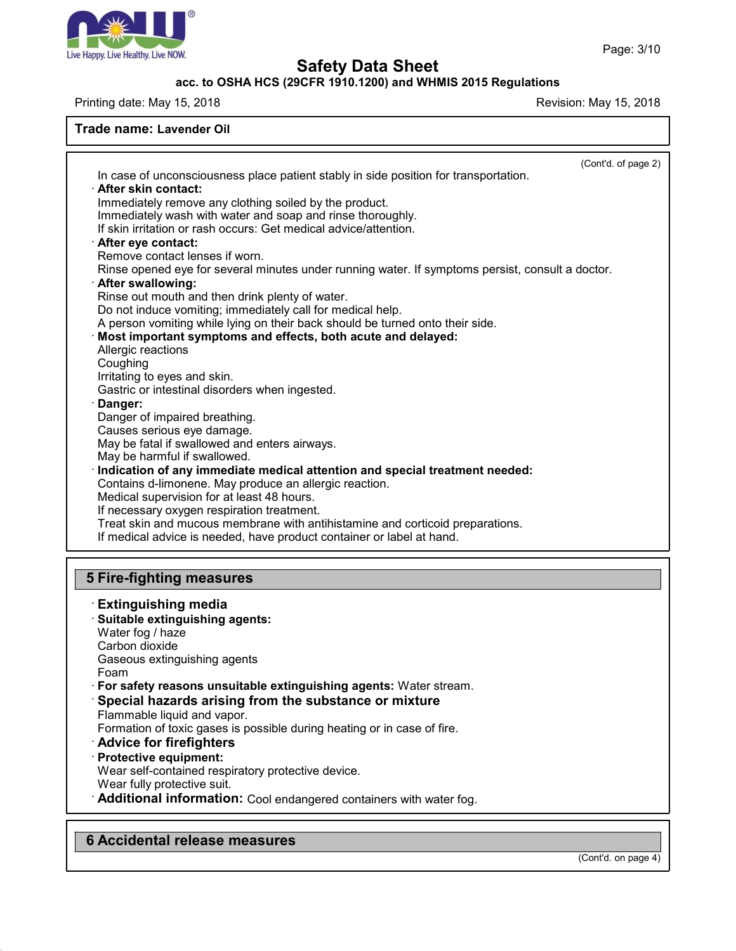

## **acc. to OSHA HCS (29CFR 1910.1200) and WHMIS 2015 Regulations**

Printing date: May 15, 2018 **Printing date:** May 15, 2018

#### **Trade name: Lavender Oil**

|                                                                                                                                                            | (Cont'd. of page 2) |  |  |  |  |  |                                                 |  |
|------------------------------------------------------------------------------------------------------------------------------------------------------------|---------------------|--|--|--|--|--|-------------------------------------------------|--|
| In case of unconsciousness place patient stably in side position for transportation.<br>· After skin contact:                                              |                     |  |  |  |  |  |                                                 |  |
| Immediately remove any clothing soiled by the product.                                                                                                     |                     |  |  |  |  |  |                                                 |  |
| Immediately wash with water and soap and rinse thoroughly.                                                                                                 |                     |  |  |  |  |  |                                                 |  |
| If skin irritation or rash occurs: Get medical advice/attention.                                                                                           |                     |  |  |  |  |  |                                                 |  |
| · After eye contact:<br>Remove contact lenses if worn.<br>Rinse opened eye for several minutes under running water. If symptoms persist, consult a doctor. |                     |  |  |  |  |  |                                                 |  |
|                                                                                                                                                            |                     |  |  |  |  |  | · After swallowing:                             |  |
|                                                                                                                                                            |                     |  |  |  |  |  | Rinse out mouth and then drink plenty of water. |  |
| Do not induce vomiting; immediately call for medical help.                                                                                                 |                     |  |  |  |  |  |                                                 |  |
| A person vomiting while lying on their back should be turned onto their side.                                                                              |                     |  |  |  |  |  |                                                 |  |
| Most important symptoms and effects, both acute and delayed:                                                                                               |                     |  |  |  |  |  |                                                 |  |
| Allergic reactions                                                                                                                                         |                     |  |  |  |  |  |                                                 |  |
| Coughing                                                                                                                                                   |                     |  |  |  |  |  |                                                 |  |
| Irritating to eyes and skin.<br>Gastric or intestinal disorders when ingested.                                                                             |                     |  |  |  |  |  |                                                 |  |
| · Danger:                                                                                                                                                  |                     |  |  |  |  |  |                                                 |  |
| Danger of impaired breathing.                                                                                                                              |                     |  |  |  |  |  |                                                 |  |
| Causes serious eye damage.                                                                                                                                 |                     |  |  |  |  |  |                                                 |  |
| May be fatal if swallowed and enters airways.                                                                                                              |                     |  |  |  |  |  |                                                 |  |
| May be harmful if swallowed.                                                                                                                               |                     |  |  |  |  |  |                                                 |  |
| · Indication of any immediate medical attention and special treatment needed:                                                                              |                     |  |  |  |  |  |                                                 |  |
| Contains d-limonene. May produce an allergic reaction.                                                                                                     |                     |  |  |  |  |  |                                                 |  |
| Medical supervision for at least 48 hours.                                                                                                                 |                     |  |  |  |  |  |                                                 |  |
| If necessary oxygen respiration treatment.                                                                                                                 |                     |  |  |  |  |  |                                                 |  |
| Treat skin and mucous membrane with antihistamine and corticoid preparations.                                                                              |                     |  |  |  |  |  |                                                 |  |
| If medical advice is needed, have product container or label at hand.                                                                                      |                     |  |  |  |  |  |                                                 |  |
|                                                                                                                                                            |                     |  |  |  |  |  |                                                 |  |
| <b>5 Fire-fighting measures</b>                                                                                                                            |                     |  |  |  |  |  |                                                 |  |
| <b>Extinguishing media</b>                                                                                                                                 |                     |  |  |  |  |  |                                                 |  |
| Suitable extinguishing agents:                                                                                                                             |                     |  |  |  |  |  |                                                 |  |
| Water fog / haze                                                                                                                                           |                     |  |  |  |  |  |                                                 |  |
| Carbon dioxide                                                                                                                                             |                     |  |  |  |  |  |                                                 |  |
| Gaseous extinguishing agents                                                                                                                               |                     |  |  |  |  |  |                                                 |  |
| Foam                                                                                                                                                       |                     |  |  |  |  |  |                                                 |  |
| · For safety reasons unsuitable extinguishing agents: Water stream.                                                                                        |                     |  |  |  |  |  |                                                 |  |
| Special hazards arising from the substance or mixture                                                                                                      |                     |  |  |  |  |  |                                                 |  |
| Flammable liquid and vapor.                                                                                                                                |                     |  |  |  |  |  |                                                 |  |
| Formation of toxic gases is possible during heating or in case of fire.                                                                                    |                     |  |  |  |  |  |                                                 |  |
| <b>Advice for firefighters</b>                                                                                                                             |                     |  |  |  |  |  |                                                 |  |

· **Protective equipment:**

Wear self-contained respiratory protective device.

Wear fully protective suit.

47.0

· **Additional information:** Cool endangered containers with water fog.

## **6 Accidental release measures**

(Cont'd. on page 4)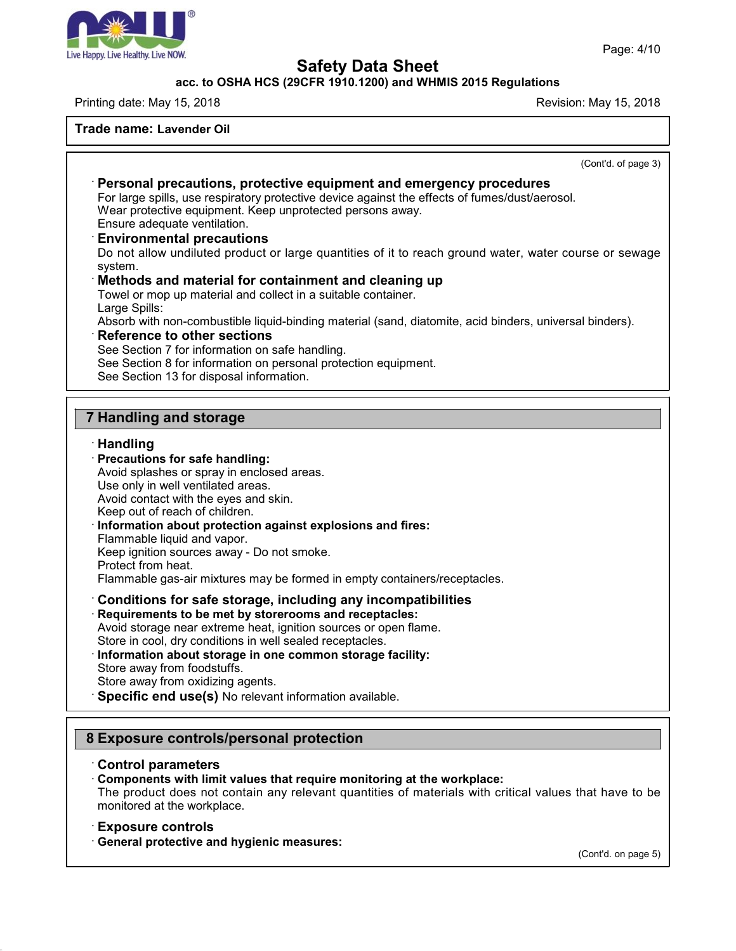

**acc. to OSHA HCS (29CFR 1910.1200) and WHMIS 2015 Regulations**

Printing date: May 15, 2018 **Printing date:** May 15, 2018

#### **Trade name: Lavender Oil**

(Cont'd. of page 3) · **Personal precautions, protective equipment and emergency procedures** For large spills, use respiratory protective device against the effects of fumes/dust/aerosol. Wear protective equipment. Keep unprotected persons away. Ensure adequate ventilation. · **Environmental precautions** Do not allow undiluted product or large quantities of it to reach ground water, water course or sewage system. · **Methods and material for containment and cleaning up** Towel or mop up material and collect in a suitable container. Large Spills: Absorb with non-combustible liquid-binding material (sand, diatomite, acid binders, universal binders). · **Reference to other sections** See Section 7 for information on safe handling. See Section 8 for information on personal protection equipment. See Section 13 for disposal information. **7 Handling and storage** · **Handling** · **Precautions for safe handling:** Avoid splashes or spray in enclosed areas. Use only in well ventilated areas. Avoid contact with the eyes and skin. Keep out of reach of children. · **Information about protection against explosions and fires:** Flammable liquid and vapor. Keep ignition sources away - Do not smoke. Protect from heat. Flammable gas-air mixtures may be formed in empty containers/receptacles.

· **Conditions for safe storage, including any incompatibilities** · **Requirements to be met by storerooms and receptacles:** Avoid storage near extreme heat, ignition sources or open flame. Store in cool, dry conditions in well sealed receptacles. · **Information about storage in one common storage facility:** Store away from foodstuffs. Store away from oxidizing agents.

· **Specific end use(s)** No relevant information available.

## **8 Exposure controls/personal protection**

#### · **Control parameters**

· **Components with limit values that require monitoring at the workplace:**

The product does not contain any relevant quantities of materials with critical values that have to be monitored at the workplace.

#### · **Exposure controls**

47.0

· **General protective and hygienic measures:**

(Cont'd. on page 5)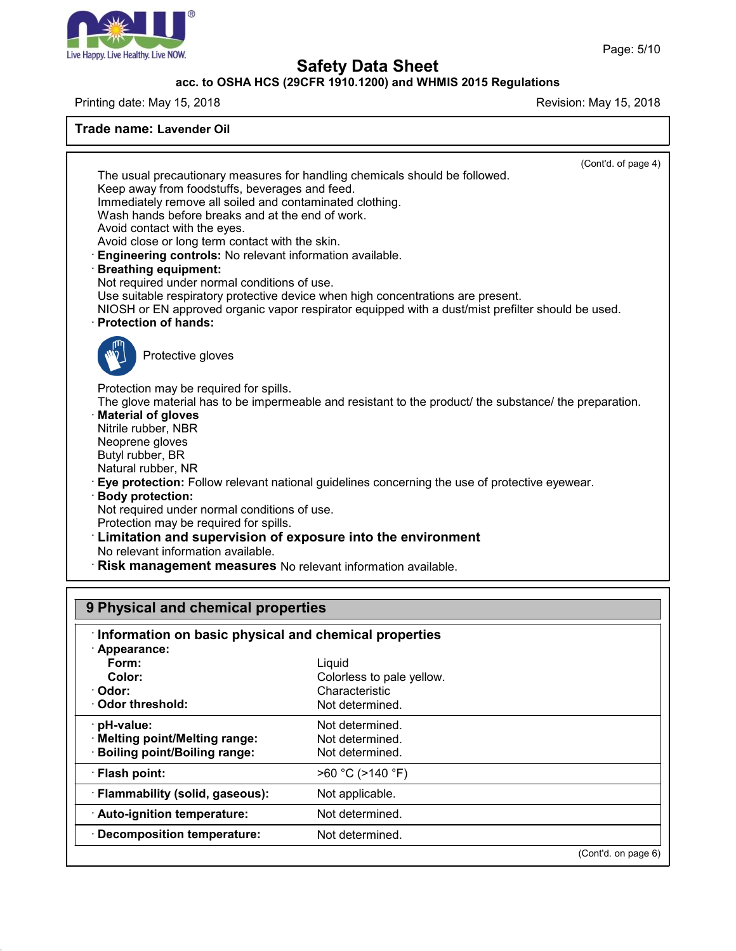

### **acc. to OSHA HCS (29CFR 1910.1200) and WHMIS 2015 Regulations**

Printing date: May 15, 2018 **Printing date:** May 15, 2018

| Trade name: Lavender Oil                                                                                                                                                                                                                                                                                                                                                                                                                                              |                                                                                                                                                                                                                                                                                             |  |
|-----------------------------------------------------------------------------------------------------------------------------------------------------------------------------------------------------------------------------------------------------------------------------------------------------------------------------------------------------------------------------------------------------------------------------------------------------------------------|---------------------------------------------------------------------------------------------------------------------------------------------------------------------------------------------------------------------------------------------------------------------------------------------|--|
| Keep away from foodstuffs, beverages and feed.<br>Immediately remove all soiled and contaminated clothing.<br>Wash hands before breaks and at the end of work.<br>Avoid contact with the eyes.<br>Avoid close or long term contact with the skin.<br>Engineering controls: No relevant information available.<br><b>Breathing equipment:</b><br>Not required under normal conditions of use.<br><b>Protection of hands:</b>                                           | (Cont'd. of page 4)<br>The usual precautionary measures for handling chemicals should be followed.<br>Use suitable respiratory protective device when high concentrations are present.<br>NIOSH or EN approved organic vapor respirator equipped with a dust/mist prefilter should be used. |  |
| Protective gloves<br>Protection may be required for spills.<br><b>Material of gloves</b><br>Nitrile rubber, NBR<br>Neoprene gloves<br>Butyl rubber, BR<br>Natural rubber, NR<br><b>Body protection:</b><br>Not required under normal conditions of use.<br>Protection may be required for spills.<br>Limitation and supervision of exposure into the environment<br>No relevant information available.<br>Risk management measures No relevant information available. | The glove material has to be impermeable and resistant to the product/ the substance/ the preparation.<br>Eye protection: Follow relevant national guidelines concerning the use of protective eyewear.                                                                                     |  |
|                                                                                                                                                                                                                                                                                                                                                                                                                                                                       |                                                                                                                                                                                                                                                                                             |  |
| 9 Physical and chemical properties                                                                                                                                                                                                                                                                                                                                                                                                                                    |                                                                                                                                                                                                                                                                                             |  |
| Information on basic physical and chemical properties<br>· Appearance:<br>Form:<br>Color:<br>Odor:<br>Odor threshold:                                                                                                                                                                                                                                                                                                                                                 | Liquid<br>Colorless to pale yellow.<br>Characteristic<br>Not determined.                                                                                                                                                                                                                    |  |
| pH-value:<br><b>Melting point/Melting range:</b><br><b>Boiling point/Boiling range:</b>                                                                                                                                                                                                                                                                                                                                                                               | Not determined.<br>Not determined.<br>Not determined.                                                                                                                                                                                                                                       |  |
| · Flash point:                                                                                                                                                                                                                                                                                                                                                                                                                                                        | >60 °C (>140 °F)                                                                                                                                                                                                                                                                            |  |

47.0

(Cont'd. on page 6)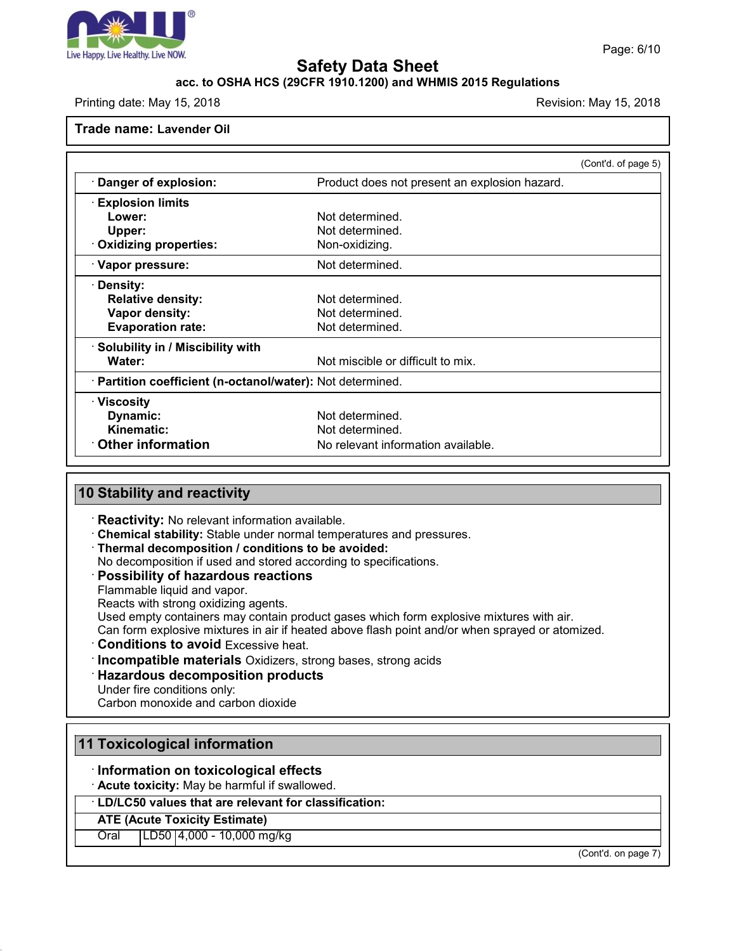

#### **acc. to OSHA HCS (29CFR 1910.1200) and WHMIS 2015 Regulations**

Printing date: May 15, 2018 **Printing date: May 15, 2018** Revision: May 15, 2018

**Trade name: Lavender Oil**

|                                                            | (Cont'd. of page 5)                           |
|------------------------------------------------------------|-----------------------------------------------|
| · Danger of explosion:                                     | Product does not present an explosion hazard. |
| <b>Explosion limits</b>                                    |                                               |
| Lower:                                                     | Not determined.                               |
| Upper:                                                     | Not determined.                               |
| Oxidizing properties:                                      | Non-oxidizing.                                |
| · Vapor pressure:                                          | Not determined.                               |
| · Density:                                                 |                                               |
| <b>Relative density:</b>                                   | Not determined.                               |
| Vapor density:                                             | Not determined.                               |
| <b>Evaporation rate:</b>                                   | Not determined.                               |
| · Solubility in / Miscibility with                         |                                               |
| Water:                                                     | Not miscible or difficult to mix.             |
| · Partition coefficient (n-octanol/water): Not determined. |                                               |
| <b>∴Viscosity</b>                                          |                                               |
| Dynamic:                                                   | Not determined.                               |
| Kinematic:                                                 | Not determined.                               |
| $\cdot$ Other information                                  | No relevant information available.            |

#### **10 Stability and reactivity**

· **Reactivity:** No relevant information available.

· **Chemical stability:** Stable under normal temperatures and pressures.

· **Thermal decomposition / conditions to be avoided:**

No decomposition if used and stored according to specifications.

## · **Possibility of hazardous reactions**

Flammable liquid and vapor.

Reacts with strong oxidizing agents.

Used empty containers may contain product gases which form explosive mixtures with air.

Can form explosive mixtures in air if heated above flash point and/or when sprayed or atomized.

· **Conditions to avoid** Excessive heat.

- · **Incompatible materials** Oxidizers, strong bases, strong acids
- · **Hazardous decomposition products**

Under fire conditions only:

Carbon monoxide and carbon dioxide

## **11 Toxicological information**

· **Information on toxicological effects**

· **Acute toxicity:** May be harmful if swallowed.

· **LD/LC50 values that are relevant for classification:**

#### **ATE (Acute Toxicity Estimate)**

47.0

Oral LD50 4,000 - 10,000 mg/kg

(Cont'd. on page 7)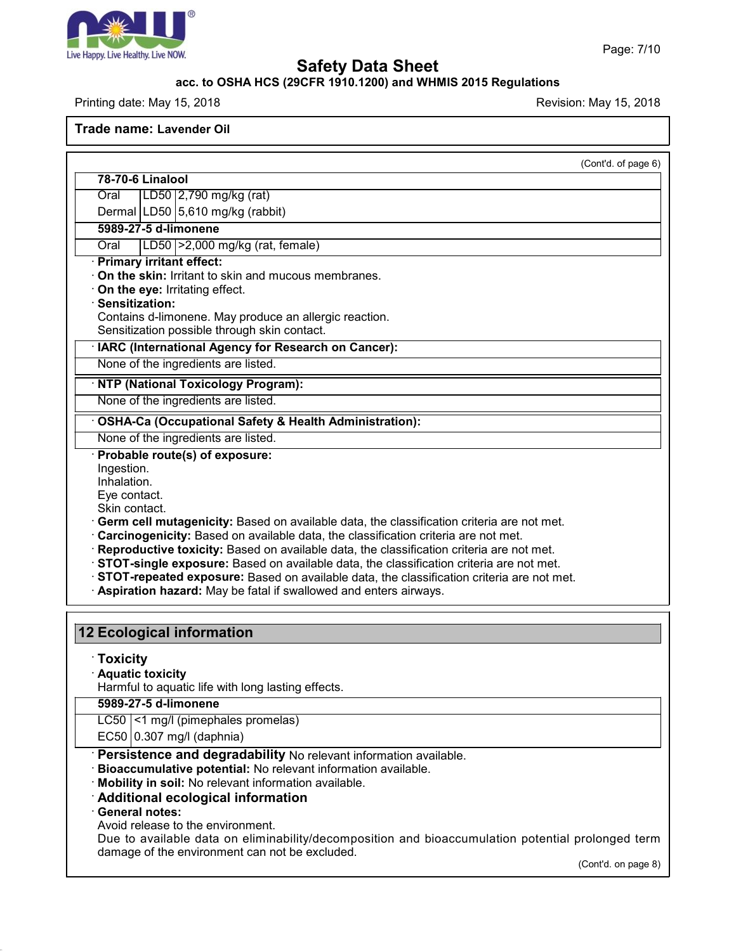

47.0

# **Safety Data Sheet**

## **acc. to OSHA HCS (29CFR 1910.1200) and WHMIS 2015 Regulations**

Printing date: May 15, 2018 **Printing date:** May 15, 2018

**Trade name: Lavender Oil**

| 78-70-6 Linalool                                                                                                                                                               | (Cont'd. of page 6) |
|--------------------------------------------------------------------------------------------------------------------------------------------------------------------------------|---------------------|
|                                                                                                                                                                                |                     |
| LD50 2,790 mg/kg (rat)<br>Oral                                                                                                                                                 |                     |
| Dermal LD50 5,610 mg/kg (rabbit)                                                                                                                                               |                     |
| 5989-27-5 d-limonene                                                                                                                                                           |                     |
| LD50   > 2,000 mg/kg (rat, female)<br>Oral                                                                                                                                     |                     |
| · Primary irritant effect:<br>On the skin: Irritant to skin and mucous membranes.                                                                                              |                     |
| On the eye: Irritating effect.                                                                                                                                                 |                     |
| Sensitization:                                                                                                                                                                 |                     |
| Contains d-limonene. May produce an allergic reaction.                                                                                                                         |                     |
| Sensitization possible through skin contact.                                                                                                                                   |                     |
| · IARC (International Agency for Research on Cancer):                                                                                                                          |                     |
| None of the ingredients are listed.                                                                                                                                            |                     |
| · NTP (National Toxicology Program):                                                                                                                                           |                     |
| None of the ingredients are listed.                                                                                                                                            |                     |
| · OSHA-Ca (Occupational Safety & Health Administration):                                                                                                                       |                     |
| None of the ingredients are listed.                                                                                                                                            |                     |
| · Probable route(s) of exposure:                                                                                                                                               |                     |
| Ingestion.                                                                                                                                                                     |                     |
| Inhalation.                                                                                                                                                                    |                     |
| Eye contact.                                                                                                                                                                   |                     |
| Skin contact.                                                                                                                                                                  |                     |
| Germ cell mutagenicity: Based on available data, the classification criteria are not met.                                                                                      |                     |
| Carcinogenicity: Based on available data, the classification criteria are not met.<br>Reproductive toxicity: Based on available data, the classification criteria are not met. |                     |
| STOT-single exposure: Based on available data, the classification criteria are not met.                                                                                        |                     |
| · STOT-repeated exposure: Based on available data, the classification criteria are not met.                                                                                    |                     |
| · Aspiration hazard: May be fatal if swallowed and enters airways.                                                                                                             |                     |
|                                                                                                                                                                                |                     |
|                                                                                                                                                                                |                     |
| 12 Ecological information                                                                                                                                                      |                     |
| <b>Toxicity</b>                                                                                                                                                                |                     |
| · Aquatic toxicity                                                                                                                                                             |                     |
| Harmful to aquatic life with long lasting effects.                                                                                                                             |                     |
| 5989-27-5 d-limonene                                                                                                                                                           |                     |
| LC50 <1 mg/l (pimephales promelas)                                                                                                                                             |                     |
| EC50 0.307 mg/l (daphnia)                                                                                                                                                      |                     |
| Persistence and degradability No relevant information available.                                                                                                               |                     |
| Bioaccumulative potential: No relevant information available.                                                                                                                  |                     |
| Mobility in soil: No relevant information available.                                                                                                                           |                     |
| Additional ecological information                                                                                                                                              |                     |
| · General notes:                                                                                                                                                               |                     |
| Avoid release to the environment.                                                                                                                                              |                     |
| Due to available data on eliminability/decomposition and bioaccumulation potential prolonged term                                                                              |                     |
| damage of the environment can not be excluded.                                                                                                                                 |                     |

(Cont'd. on page 8)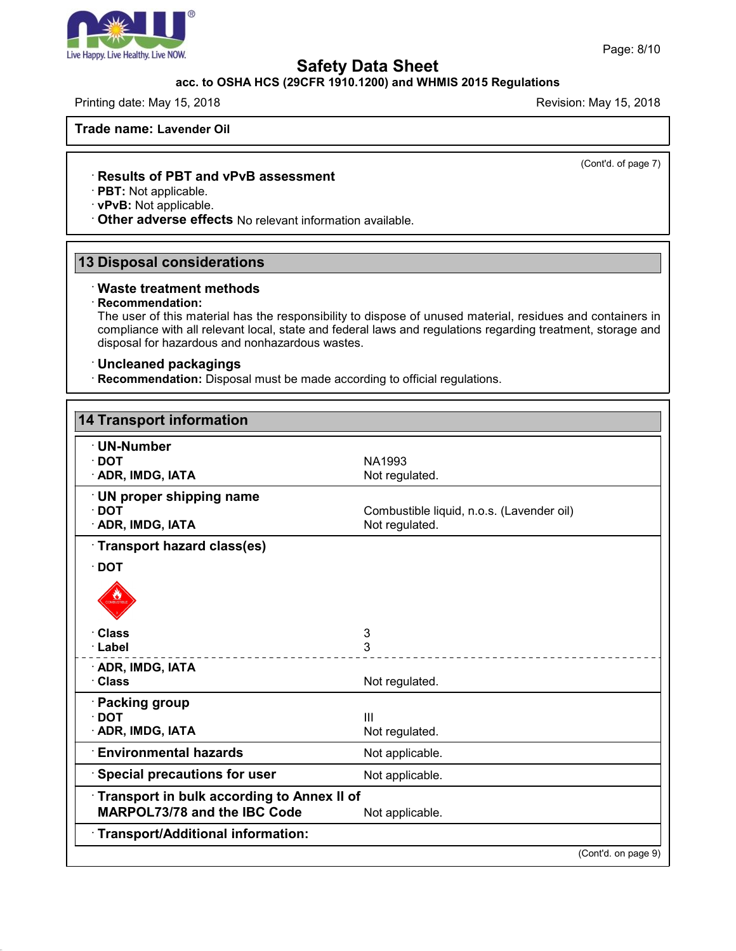

## **acc. to OSHA HCS (29CFR 1910.1200) and WHMIS 2015 Regulations**

Printing date: May 15, 2018 **Printing date: May 15, 2018** Revision: May 15, 2018

**Trade name: Lavender Oil**

(Cont'd. of page 7)

#### · **Results of PBT and vPvB assessment**

· **PBT:** Not applicable.

· **vPvB:** Not applicable.

· **Other adverse effects** No relevant information available.

# **13 Disposal considerations**

#### · **Waste treatment methods**

#### · **Recommendation:**

47.0

The user of this material has the responsibility to dispose of unused material, residues and containers in compliance with all relevant local, state and federal laws and regulations regarding treatment, storage and disposal for hazardous and nonhazardous wastes.

#### · **Uncleaned packagings**

· **Recommendation:** Disposal must be made according to official regulations.

| · UN-Number                                       |                                           |
|---------------------------------------------------|-------------------------------------------|
| $\cdot$ DOT                                       | NA1993                                    |
| · ADR, IMDG, IATA                                 | Not regulated.                            |
| · UN proper shipping name                         |                                           |
| $\cdot$ DOT                                       | Combustible liquid, n.o.s. (Lavender oil) |
| · ADR, IMDG, IATA                                 | Not regulated.                            |
| Transport hazard class(es)                        |                                           |
| $\cdot$ DOT                                       |                                           |
|                                                   |                                           |
| · Class                                           | 3                                         |
| · Label                                           | 3                                         |
| · ADR, IMDG, IATA                                 |                                           |
| · Class                                           | Not regulated.                            |
| · Packing group                                   |                                           |
| $\cdot$ DOT                                       | III                                       |
| · ADR, IMDG, IATA                                 | Not regulated.                            |
| <b>Environmental hazards</b>                      | Not applicable.                           |
| <b>Special precautions for user</b>               | Not applicable.                           |
| <b>Transport in bulk according to Annex II of</b> |                                           |
| MARPOL73/78 and the IBC Code                      | Not applicable.                           |
| Transport/Additional information:                 |                                           |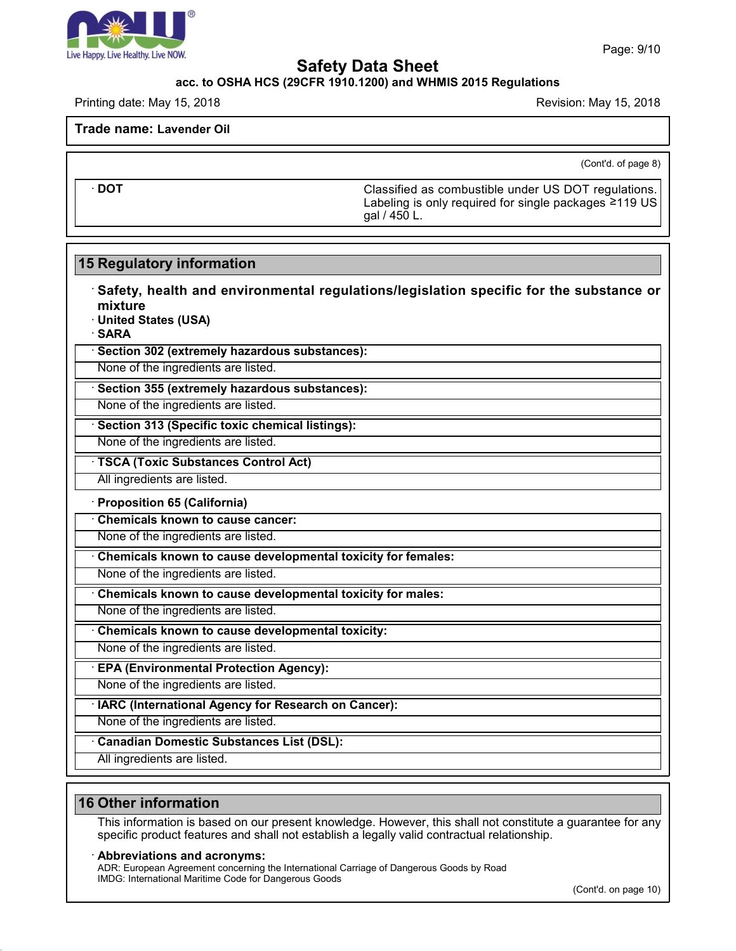

#### **acc. to OSHA HCS (29CFR 1910.1200) and WHMIS 2015 Regulations**

Printing date: May 15, 2018 **Printing date: May 15, 2018** Revision: May 15, 2018

**Trade name: Lavender Oil**

(Cont'd. of page 8)

· **DOT** Classified as combustible under US DOT regulations. Labeling is only required for single packages ≥119 US gal / 450 L.

# **15 Regulatory information**

· **Safety, health and environmental regulations/legislation specific for the substance or mixture**

· **United States (USA)**

· **SARA**

· **Section 302 (extremely hazardous substances):**

None of the ingredients are listed.

· **Section 355 (extremely hazardous substances):**

None of the ingredients are listed.

· **Section 313 (Specific toxic chemical listings):**

None of the ingredients are listed.

· **TSCA (Toxic Substances Control Act)**

All ingredients are listed.

· **Proposition 65 (California)**

· **Chemicals known to cause cancer:**

None of the ingredients are listed.

· **Chemicals known to cause developmental toxicity for females:**

None of the ingredients are listed.

· **Chemicals known to cause developmental toxicity for males:**

None of the ingredients are listed.

· **Chemicals known to cause developmental toxicity:**

None of the ingredients are listed.

· **EPA (Environmental Protection Agency):**

None of the ingredients are listed.

· **IARC (International Agency for Research on Cancer):**

None of the ingredients are listed.

· **Canadian Domestic Substances List (DSL):**

All ingredients are listed.

## **16 Other information**

47.0

This information is based on our present knowledge. However, this shall not constitute a guarantee for any specific product features and shall not establish a legally valid contractual relationship.

#### · **Abbreviations and acronyms:**

ADR: European Agreement concerning the International Carriage of Dangerous Goods by Road IMDG: International Maritime Code for Dangerous Goods

(Cont'd. on page 10)